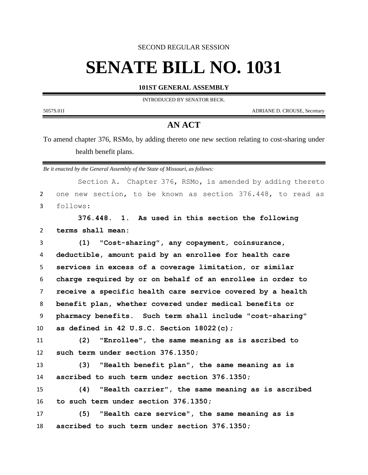SECOND REGULAR SESSION

## **SENATE BILL NO. 1031**

## **101ST GENERAL ASSEMBLY**

INTRODUCED BY SENATOR BECK.

5057S.01I ADRIANE D. CROUSE, Secretary

-

## **AN ACT**

To amend chapter 376, RSMo, by adding thereto one new section relating to cost-sharing under health benefit plans.

*Be it enacted by the General Assembly of the State of Missouri, as follows:*

|                | Section A. Chapter 376, RSMo, is amended by adding thereto  |
|----------------|-------------------------------------------------------------|
| $\overline{2}$ | one new section, to be known as section 376.448, to read as |
| $\mathbf{3}$   | follows:                                                    |
|                | 376.448. 1. As used in this section the following           |
| $\overline{2}$ | terms shall mean:                                           |
| 3              | (1) "Cost-sharing", any copayment, coinsurance,             |
| 4              | deductible, amount paid by an enrollee for health care      |
| 5              | services in excess of a coverage limitation, or similar     |
| 6              | charge required by or on behalf of an enrollee in order to  |
| $\overline{7}$ | receive a specific health care service covered by a health  |
| 8              | benefit plan, whether covered under medical benefits or     |
| 9              | pharmacy benefits. Such term shall include "cost-sharing"   |
| 10             | as defined in 42 U.S.C. Section $18022(c)$ ;                |
| 11             | "Enrollee", the same meaning as is ascribed to<br>(2)       |
| 12             | such term under section 376.1350;                           |
| 13             | "Health benefit plan", the same meaning as is<br>(3)        |
| 14             | ascribed to such term under section 376.1350;               |
| 15             | "Health carrier", the same meaning as is ascribed<br>(4)    |
| 16             | to such term under section 376.1350;                        |
| 17             | (5)<br>"Health care service", the same meaning as is        |
| 18             | ascribed to such term under section 376.1350;               |